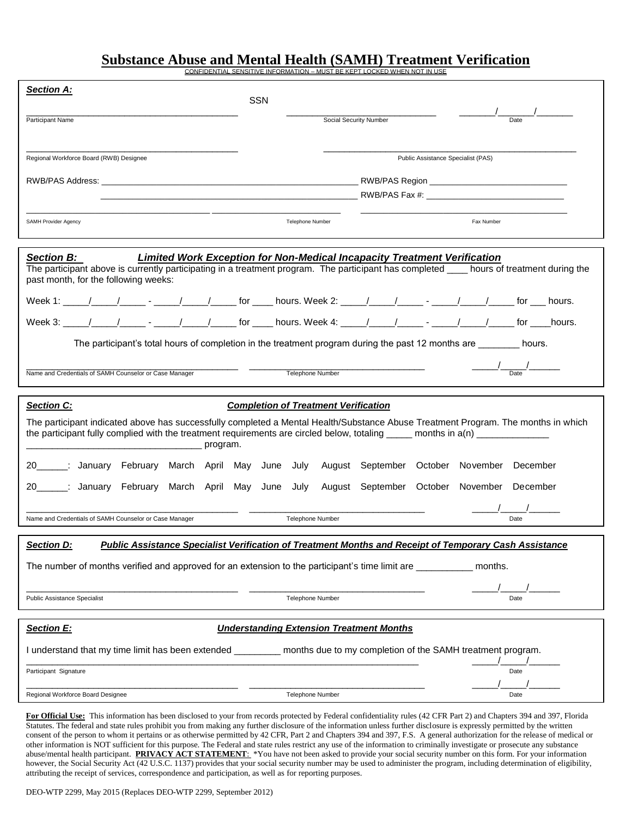# **Substance Abuse and Mental Health (SAMH) Treatment Verification**

CONFIDENTIAL SENSITIVE INFORMATION – MUST BE KEPT LOCKED WHEN NOT IN USE

| <b>Section A:</b>                                                                                                                                                                                                                                                                 | <b>SSN</b>                                      |                                    |                                                                                                                                                                                                                                                                                                                                                                                                                                 |
|-----------------------------------------------------------------------------------------------------------------------------------------------------------------------------------------------------------------------------------------------------------------------------------|-------------------------------------------------|------------------------------------|---------------------------------------------------------------------------------------------------------------------------------------------------------------------------------------------------------------------------------------------------------------------------------------------------------------------------------------------------------------------------------------------------------------------------------|
| Participant Name                                                                                                                                                                                                                                                                  | Social Security Number                          |                                    | Date                                                                                                                                                                                                                                                                                                                                                                                                                            |
|                                                                                                                                                                                                                                                                                   |                                                 |                                    |                                                                                                                                                                                                                                                                                                                                                                                                                                 |
| Regional Workforce Board (RWB) Designee                                                                                                                                                                                                                                           |                                                 | Public Assistance Specialist (PAS) |                                                                                                                                                                                                                                                                                                                                                                                                                                 |
|                                                                                                                                                                                                                                                                                   |                                                 |                                    |                                                                                                                                                                                                                                                                                                                                                                                                                                 |
|                                                                                                                                                                                                                                                                                   |                                                 |                                    |                                                                                                                                                                                                                                                                                                                                                                                                                                 |
| SAMH Provider Agency                                                                                                                                                                                                                                                              | Telephone Number                                |                                    | Fax Number                                                                                                                                                                                                                                                                                                                                                                                                                      |
| <b>Section B:</b><br>Limited Work Exception for Non-Medical Incapacity Treatment Verification<br>The participant above is currently participating in a treatment program. The participant has completed ___ hours of treatment during the<br>past month, for the following weeks: |                                                 |                                    |                                                                                                                                                                                                                                                                                                                                                                                                                                 |
|                                                                                                                                                                                                                                                                                   |                                                 |                                    |                                                                                                                                                                                                                                                                                                                                                                                                                                 |
|                                                                                                                                                                                                                                                                                   |                                                 |                                    |                                                                                                                                                                                                                                                                                                                                                                                                                                 |
| The participant's total hours of completion in the treatment program during the past 12 months are ________ hours.                                                                                                                                                                |                                                 |                                    |                                                                                                                                                                                                                                                                                                                                                                                                                                 |
| Name and Credentials of SAMH Counselor or Case Manager                                                                                                                                                                                                                            | Telephone Number                                |                                    | $\frac{1}{\sqrt{1-\frac{1}{2}}}\frac{1}{\sqrt{1-\frac{1}{2}}}\frac{1}{\sqrt{1-\frac{1}{2}}}\frac{1}{\sqrt{1-\frac{1}{2}}}\frac{1}{\sqrt{1-\frac{1}{2}}}\frac{1}{\sqrt{1-\frac{1}{2}}}\frac{1}{\sqrt{1-\frac{1}{2}}}\frac{1}{\sqrt{1-\frac{1}{2}}}\frac{1}{\sqrt{1-\frac{1}{2}}}\frac{1}{\sqrt{1-\frac{1}{2}}}\frac{1}{\sqrt{1-\frac{1}{2}}}\frac{1}{\sqrt{1-\frac{1}{2}}}\frac{1}{\sqrt{1-\frac{1}{2}}}\frac{1}{\sqrt{1-\frac{$ |
| <b>Section C:</b><br><b>Completion of Treatment Verification</b>                                                                                                                                                                                                                  |                                                 |                                    |                                                                                                                                                                                                                                                                                                                                                                                                                                 |
| The participant indicated above has successfully completed a Mental Health/Substance Abuse Treatment Program. The months in which<br>the participant fully complied with the treatment requirements are circled below, totaling _____ months in a(n) ___________                  |                                                 |                                    |                                                                                                                                                                                                                                                                                                                                                                                                                                 |
| 20______: January February March April May June July August September October November December                                                                                                                                                                                   |                                                 |                                    |                                                                                                                                                                                                                                                                                                                                                                                                                                 |
| 20______: January February March April May June July August September October November December                                                                                                                                                                                   |                                                 |                                    |                                                                                                                                                                                                                                                                                                                                                                                                                                 |
| Name and Credentials of SAMH Counselor or Case Manager                                                                                                                                                                                                                            | Telephone Number                                |                                    |                                                                                                                                                                                                                                                                                                                                                                                                                                 |
|                                                                                                                                                                                                                                                                                   |                                                 |                                    | Date                                                                                                                                                                                                                                                                                                                                                                                                                            |
|                                                                                                                                                                                                                                                                                   |                                                 |                                    |                                                                                                                                                                                                                                                                                                                                                                                                                                 |
| <b>Public Assistance Specialist Verification of Treatment Months and Receipt of Temporary Cash Assistance</b><br><b>Section D:</b><br>The number of months verified and approved for an extension to the participant's time limit are __________                                  |                                                 |                                    | months.                                                                                                                                                                                                                                                                                                                                                                                                                         |
| <b>Public Assistance Specialist</b>                                                                                                                                                                                                                                               | <b>Telephone Number</b>                         |                                    | Date                                                                                                                                                                                                                                                                                                                                                                                                                            |
| <b>Section E:</b>                                                                                                                                                                                                                                                                 | <b>Understanding Extension Treatment Months</b> |                                    |                                                                                                                                                                                                                                                                                                                                                                                                                                 |
| I understand that my time limit has been extended _________ months due to my completion of the SAMH treatment program.                                                                                                                                                            |                                                 |                                    |                                                                                                                                                                                                                                                                                                                                                                                                                                 |
| Participant Signature                                                                                                                                                                                                                                                             |                                                 |                                    | Date                                                                                                                                                                                                                                                                                                                                                                                                                            |

other information is NOT sufficient for this purpose. The Federal and state rules restrict any use of the information to criminally investigate or prosecute any substance **For Official Use:** This information has been disclosed to your from records protected by Federal confidentiality rules (42 CFR Part 2) and Chapters 394 and 397, Florida Statutes. The federal and state rules prohibit you from making any further disclosure of the information unless further disclosure is expressly permitted by the written consent of the person to whom it pertains or as otherwise permitted by 42 CFR, Part 2 and Chapters 394 and 397, F.S. A general authorization for the release of medical or abuse/mental health participant. **PRIVACY ACT STATEMENT**: \*You have not been asked to provide your social security number on this form. For your information however, the Social Security Act (42 U.S.C. 1137) provides that your social security number may be used to administer the program, including determination of eligibility, attributing the receipt of services, correspondence and participation, as well as for reporting purposes.